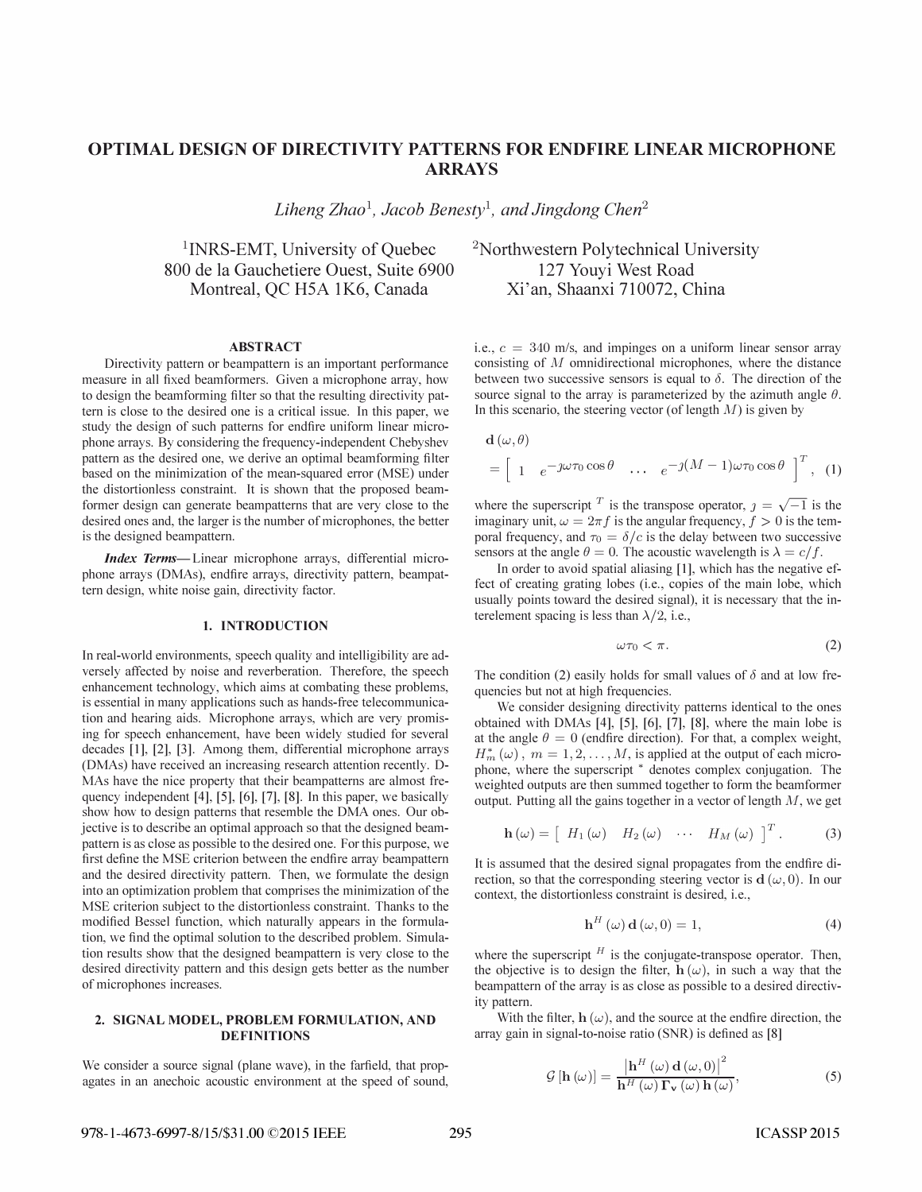# OP TIMAL DESIGN OF DIRECTIVITY PATTERNS FOR ENDFIRE LINEAR MICROPHONE ARRAYS

Liheng Zhao<sup>1</sup>, Jacob Benesty<sup>1</sup>, and Jingdong Chen<sup>2</sup>

<sup>1</sup>INRS-EMT, University of Quebec 800 de la Gauchetiere Ouest, Suite 6900 Montreal, QC H5A 1K6, Canada

### ABSTRACT

Directivity pattern or beampattern is an important performance measure in all fixed beamformers. Given a microphone array, how to design the beamforming filter so that the resulting directivity pattern is close to the desired one is a critical issue. In this paper, we study the design of such patterns for endfire uniform linear microphone arrays. By considering the frequency-independent Chebyshev pattern as the desired one, we derive an optimal beamforming filter based on the minimization of the mean-squared error (MSE) under the distortionless constraint. It is shown that the proposed beamformer design can generate beam patterns that are very close to the desired ones and, the larger is the number of microphones, the better is the designed beampattern.

Index Terms—Linear microphone arrays, differential microphone arrays (DMAs), endfire arrays, directivity pattern, beampattern design, white noise gain, directivity factor.

### 1. INTRODUCTION

In real-world environments, speech quality and intelligibility are adversely affected by noise and reverberation. Therefore, the speech enhancement technology, which aims at combating these problems, is essential in many applications such as hands-free telecommunication and hearing aids. Microphone arrays, which are very promising for speech enhancement, have been widely studied for several decades [I], [2], [3]. Among them, differential microphone arrays (DMAs) have received an increasing research attention recently. D-MAs have the nice property that their beampatterns are almost frequency independent [4], [5], [6], [7], [8]. In this paper, we basically show how to design patterns that resemble the DMA ones. Our objective is to describe an optimal approach so that the designed beampattern is as close as possible to the desired one. For this purpose, we first define the MSE criterion between the endfire array beampattern and the desired directivity pattern. Then, we formulate the design into an optimization problem that comprises the minimization of the MSE criterion subject to the distortion less constraint. Thanks to the modified Bessel function, which naturally appears in the formulation, we find the optimal solution to the described problem. Simulation results show that the designed beam pattern is very close to the desired directivity pattern and this design gets better as the number of microphones increases.

## 2. SIGNAL MODEL, PROBLEM FORMULATION, AND DEFINITIONS

We consider a source signal (plane wave), in the farfield, that propagates in an anechoic acoustic environment at the speed of sound, <sup>2</sup>Northwestern Polytechnical University 127 Youyi West Road Xi'an, Shaanxi 710072, China

i.e.,  $c = 340$  m/s, and impinges on a uniform linear sensor array consisting of M omnidirectional microphones, where the distance between two successive sensors is equal to  $\delta$ . The direction of the source signal to the array is parameterized by the azimuth angle  $\theta$ . In this scenario, the steering vector (of length  $M$ ) is given by

$$
\mathbf{d}(\omega,\theta) = \begin{bmatrix} 1 & e^{-j\omega\tau_0\cos\theta} & \cdots & e^{-j(M-1)\omega\tau_0\cos\theta} \end{bmatrix}^T, (1)
$$

where the superscript <sup>T</sup> is the transpose operator,  $j = \sqrt{-1}$  is the imaginary unit,  $\omega = 2\pi f$  is the angular frequency,  $f > 0$  is the temporal frequency, and  $\tau_0 = \delta/c$  is the delay between two successive sensors at the angle  $\theta = 0$ . The acoustic wavelength is  $\lambda = c/f$ .

In order to avoid spatial aliasing [1], which has the negative effect of creating grating lobes (i.e., copies of the main lobe, which usually points toward the desired signal), it is necessary that the interelement spacing is less than  $\lambda/2$ , i.e.,

$$
\omega \tau_0 < \pi. \tag{2}
$$

The condition (2) easily holds for small values of  $\delta$  and at low frequencies but not at high frequencies.

We consider designing directivity patterns identical to the ones obtained with DMAs [4], [5], [6], [7], [8], where the main lobe is at the angle  $\theta = 0$  (endfire direction). For that, a complex weight,  $H_m^*(\omega)$ ,  $m = 1, 2, ..., M$ , is applied at the output of each microphone, where the superscript \* denotes complex conjugation. The weighted outputs are then summed together to form the beamformer output. Putting all the gains together in a vector of length  $M$ , we get

$$
\mathbf{h}(\omega) = \begin{bmatrix} H_1(\omega) & H_2(\omega) & \cdots & H_M(\omega) \end{bmatrix}^T.
$$
 (3)

It is assumed that the desired signal propagates from the endfire direction, so that the corresponding steering vector is  $d(\omega, 0)$ . In our context, the distortionless constraint is desired, i.e.,

$$
\mathbf{h}^{H}(\omega)\,\mathbf{d}\left(\omega,0\right) = 1,\tag{4}
$$

where the superscript  $<sup>H</sup>$  is the conjugate-transpose operator. Then,</sup> the objective is to design the filter,  $h(\omega)$ , in such a way that the beampattern of the array is as close as possible to a desired directivity pattern.

With the filter,  $h(\omega)$ , and the source at the endfire direction, the array gain in signal-to-noise ratio (SNR) is defined as [8]

$$
\mathcal{G}\left[\mathbf{h}\left(\omega\right)\right] = \frac{\left|\mathbf{h}^{H}\left(\omega\right)\mathbf{d}\left(\omega,0\right)\right|^{2}}{\mathbf{h}^{H}\left(\omega\right)\mathbf{\Gamma}_{\mathbf{v}}\left(\omega\right)\mathbf{h}\left(\omega\right)},\tag{5}
$$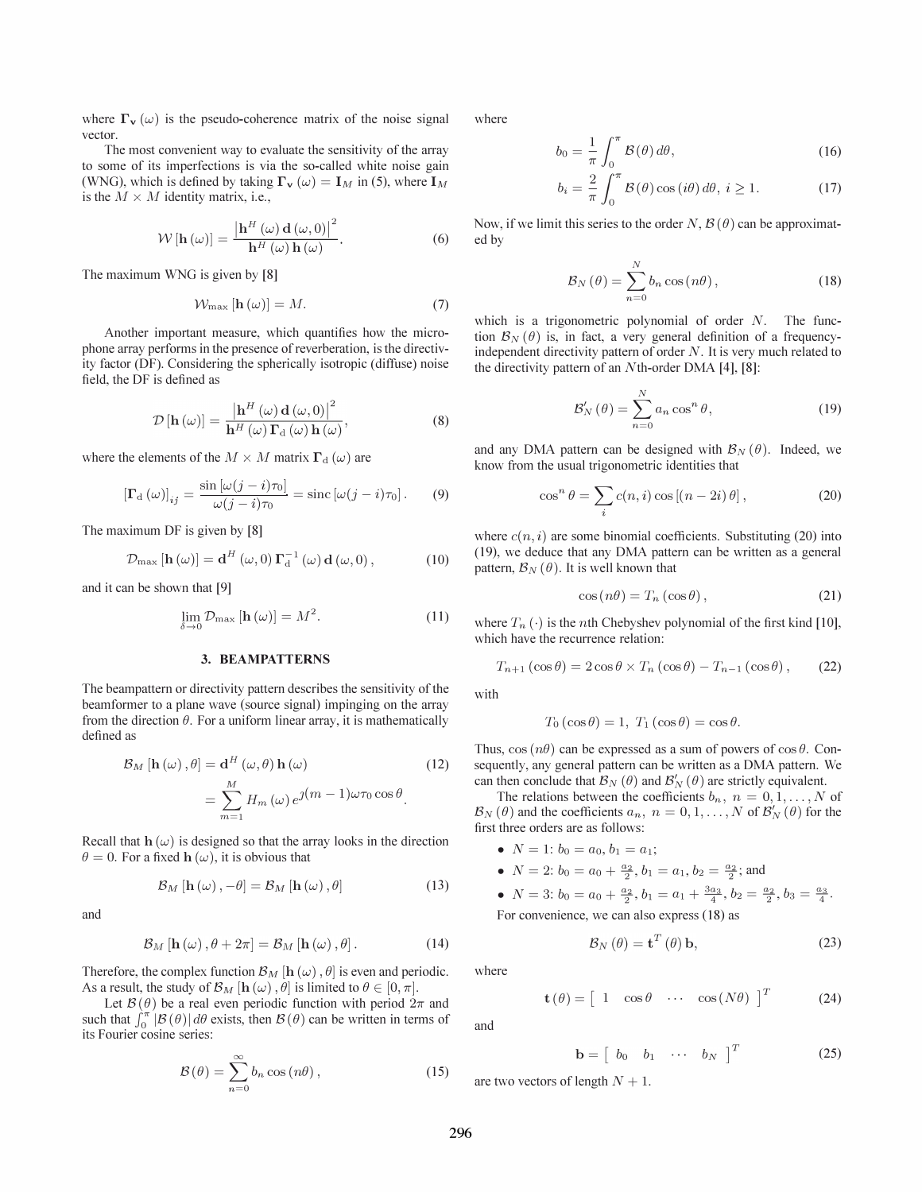where  $\Gamma_{\mathbf{v}}(\omega)$  is the pseudo-coherence matrix of the noise signal vector.

The most convenient way to evaluate the sensitivity of the array to some of its imperfections is via the so-called white noise gain (WNG), which is defined by taking  $\Gamma_{\mathbf{v}} (\omega) = \mathbf{I}_M$  in (5), where  $\mathbf{I}_M$ is the  $M \times M$  identity matrix, i.e.,

$$
\mathcal{W}\left[\mathbf{h}\left(\omega\right)\right] = \frac{\left|\mathbf{h}^{H}\left(\omega\right)\mathbf{d}\left(\omega,0\right)\right|^{2}}{\mathbf{h}^{H}\left(\omega\right)\mathbf{h}\left(\omega\right)}.
$$
\n(6)

The maximum WNG is given by [8]

$$
\mathcal{W}_{\max} \left[ \mathbf{h} \left( \omega \right) \right] = M. \tag{7}
$$

Another important measure, which quantifies how the microphone array performs in the presence of reverberation, is the directivity factor (DF). Considering the spherically isotropic (diffuse) noise field, the DF is defined as

$$
\mathcal{D}\left[\mathbf{h}\left(\omega\right)\right] = \frac{\left|\mathbf{h}^{H}\left(\omega\right)\mathbf{d}\left(\omega,0\right)\right|^{2}}{\mathbf{h}^{H}\left(\omega\right)\mathbf{\Gamma}_{\mathrm{d}}\left(\omega\right)\mathbf{h}\left(\omega\right)},\tag{8}
$$

where the elements of the  $M \times M$  matrix  $\Gamma_d(\omega)$  are

$$
\left[\Gamma_{\rm d}(\omega)\right]_{ij} = \frac{\sin\left[\omega(j-i)\tau_0\right]}{\omega(j-i)\tau_0} = \text{sinc}\left[\omega(j-i)\tau_0\right].\tag{9}
$$

The maximum DF is given by [8]

$$
\mathcal{D}_{\max} [\mathbf{h}(\omega)] = \mathbf{d}^H (\omega, 0) \mathbf{\Gamma}_d^{-1} (\omega) \mathbf{d}(\omega, 0), \qquad (10)
$$

and it can be shown that [9]

$$
\lim_{\delta \to 0} \mathcal{D}_{\text{max}} \left[ \mathbf{h} \left( \omega \right) \right] = M^2. \tag{11}
$$

#### 3. BEAMPATTERNS

The beampattern or directivity pattern describes the sensitivity of the beamformer to a plane wave (source signal) impinging on the array from the direction  $\theta$ . For a uniform linear array, it is mathematically defined as

$$
\mathcal{B}_M\left[\mathbf{h}\left(\omega\right),\theta\right] = \mathbf{d}^H\left(\omega,\theta\right)\mathbf{h}\left(\omega\right) \n= \sum_{m=1}^M H_m\left(\omega\right)e^{\jmath\left(m-1\right)\omega\tau_0\cos\theta}.
$$
\n(12)

Recall that  $h(\omega)$  is designed so that the array looks in the direction  $\theta = 0$ . For a fixed **h** ( $\omega$ ), it is obvious that

$$
\mathcal{B}_{M}\left[\mathbf{h}\left(\omega\right),-\theta\right]=\mathcal{B}_{M}\left[\mathbf{h}\left(\omega\right),\theta\right]
$$
 (13)

and

$$
\mathcal{B}_M\left[\mathbf{h}\left(\omega\right),\theta+2\pi\right]=\mathcal{B}_M\left[\mathbf{h}\left(\omega\right),\theta\right].\tag{14}
$$

Therefore, the complex function  $\mathcal{B}_M$  [h ( $\omega$ ),  $\theta$ ] is even and periodic. As a result, the study of  $\mathcal{B}_M$  [**h**  $(\omega)$ ,  $\dot{\theta}$ ] is limited to  $\theta \in [0, \pi]$ .

Let  $\mathcal{B}(\theta)$  be a real even periodic function with period  $2\pi$  and such that  $\int_0^{\pi} |\mathcal{B}(\theta)| d\theta$  exists, then  $\mathcal{B}(\theta)$  can be written in terms of its Fourier cosine series:

$$
\mathcal{B}(\theta) = \sum_{n=0}^{\infty} b_n \cos(n\theta), \qquad (15)
$$

where

$$
b_0 = \frac{1}{\pi} \int_0^{\pi} \mathcal{B}(\theta) d\theta,
$$
 (16)

$$
b_i = \frac{2}{\pi} \int_0^{\pi} \mathcal{B}(\theta) \cos(i\theta) d\theta, \ i \ge 1.
$$
 (17)

Now, if we limit this series to the order N,  $\mathcal{B}(\theta)$  can be approximated by

$$
\mathcal{B}_N(\theta) = \sum_{n=0}^N b_n \cos(n\theta), \qquad (18)
$$

which is a trigonometric polynomial of order N. The function  $\mathcal{B}_N(\theta)$  is, in fact, a very general definition of a frequencyindependent directivity pattern of order  $N$ . It is very much related to the directivity pattern of an Nth-order DMA [4], [8]:

$$
\mathcal{B}'_{N}(\theta) = \sum_{n=0}^{N} a_n \cos^{n} \theta, \qquad (19)
$$

and any DMA pattern can be designed with  $\mathcal{B}_N(\theta)$ . Indeed, we know from the usual trigonometric identities that

$$
\cos^{n} \theta = \sum_{i} c(n, i) \cos [(n - 2i) \theta], \qquad (20)
$$

where  $c(n, i)$  are some binomial coefficients. Substituting (20) into (19), we deduce that any DMA pattern can be written as a general pattern,  $\mathcal{B}_N(\theta)$ . It is well known that

$$
\cos\left(n\theta\right) = T_n\left(\cos\theta\right),\tag{21}
$$

where  $T_n(\cdot)$  is the *n*th Chebyshev polynomial of the first kind [10], which have the recurrence relation:

$$
T_{n+1}(\cos\theta) = 2\cos\theta \times T_n(\cos\theta) - T_{n-1}(\cos\theta), \qquad (22)
$$

with

$$
T_0(\cos\theta) = 1, T_1(\cos\theta) = \cos\theta.
$$

Thus,  $\cos(n\theta)$  can be expressed as a sum of powers of  $\cos \theta$ . Consequently, any general pattern can be written as a DMA pattern. We can then conclude that  $\mathcal{B}_N(\theta)$  and  $\mathcal{B}'_N(\theta)$  are strictly equivalent.

The relations between the coefficients  $b_n$ ,  $n = 0, 1, \ldots, N$  of  $\mathcal{B}_N(\theta)$  and the coefficients  $a_n$ ,  $n = 0, 1, \dots, N$  of  $\mathcal{B}'_N(\theta)$  for the first three orders are as follows:

- $N = 1$ :  $b_0 = a_0, b_1 = a_1$ ;
- $N = 2$ :  $b_0 = a_0 + \frac{a_2}{2}, b_1 = a_1, b_2 = \frac{a_2}{2}$ ; and

• 
$$
N = 3
$$
:  $b_0 = a_0 + \frac{a_2}{2}$ ,  $b_1 = a_1 + \frac{3a_3}{4}$ ,  $b_2 = \frac{a_2}{2}$ ,  $b_3 = \frac{a_3}{4}$ .  
For convenience, we can also express (18) as

$$
\mathcal{B}_N(\theta) = \mathbf{t}^T(\theta)\,\mathbf{b},\tag{23}
$$

where

$$
\mathbf{t}(\theta) = \begin{bmatrix} 1 & \cos \theta & \cdots & \cos(N\theta) \end{bmatrix}^T \tag{24}
$$

and

$$
\mathbf{b} = \begin{bmatrix} b_0 & b_1 & \cdots & b_N \end{bmatrix}^T \tag{25}
$$

are two vectors of length  $N + 1$ .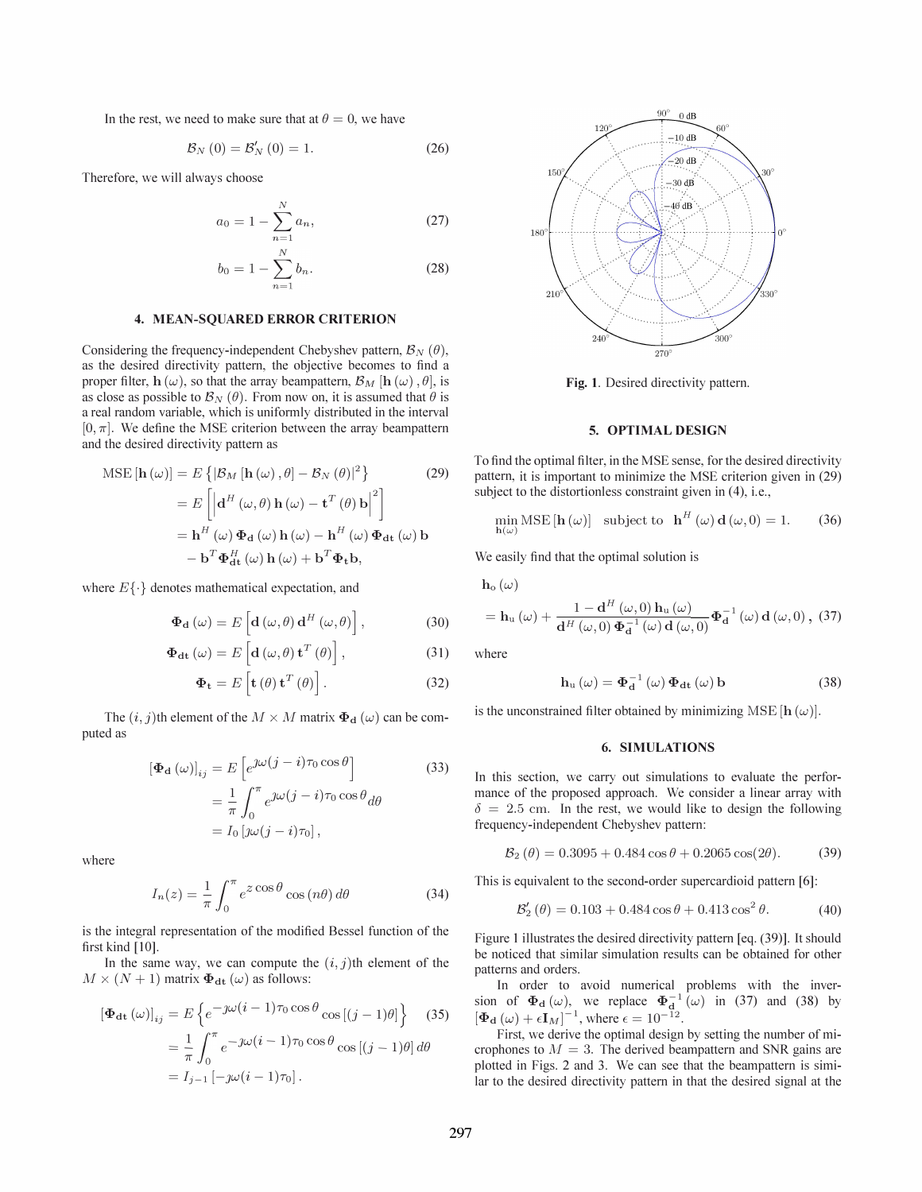In the rest, we need to make sure that at  $\theta = 0$ , we have

$$
\mathcal{B}_N\left(0\right) = \mathcal{B}'_N\left(0\right) = 1. \tag{26}
$$

Therefore, we will always choose

$$
a_0 = 1 - \sum_{n=1}^{N} a_n,
$$
 (27)

$$
b_0 = 1 - \sum_{n=1}^{N} b_n.
$$
 (28)

# 4. MEAN-SQUARED ERROR CRITERION

Considering the frequency-independent Chebyshev pattern,  $\mathcal{B}_N(\theta)$ , as the desired directivity pattern, the objective becomes to find a proper filter,  $h(\omega)$ , so that the array beampattern,  $\mathcal{B}_M$  [h ( $\omega$ ),  $\theta$ ], is as close as possible to  $\mathcal{B}_N(\theta)$ . From now on, it is assumed that  $\theta$  is a real random variable, which is uniformly distributed in the interval  $[0, \pi]$ . We define the MSE criterion between the array beampattern and the desired directivity pattern as

MSE 
$$
[\mathbf{h}(\omega)] = E \{ |\mathcal{B}_M [\mathbf{h}(\omega), \theta] - \mathcal{B}_N(\theta) |^2 \}
$$
 (29)  
\n
$$
= E \left[ \left| \mathbf{d}^H (\omega, \theta) \mathbf{h}(\omega) - \mathbf{t}^T(\theta) \mathbf{b} \right|^2 \right]
$$
\n
$$
= \mathbf{h}^H (\omega) \Phi_d (\omega) \mathbf{h}(\omega) - \mathbf{h}^H (\omega) \Phi_{dt} (\omega) \mathbf{b}
$$
\n
$$
- \mathbf{b}^T \Phi_{dt}^H (\omega) \mathbf{h}(\omega) + \mathbf{b}^T \Phi_t \mathbf{b},
$$

where  $E\{\cdot\}$  denotes mathematical expectation, and

$$
\Phi_{\mathbf{d}}\left(\omega\right) = E\left[\mathbf{d}\left(\omega,\theta\right)\mathbf{d}^H\left(\omega,\theta\right)\right],\tag{30}
$$

$$
\Phi_{\mathbf{dt}}\left(\omega\right) = E\left[\mathbf{d}\left(\omega,\theta\right)\mathbf{t}^T\left(\theta\right)\right],\tag{31}
$$

$$
\mathbf{\Phi}_{\mathbf{t}} = E\left[\mathbf{t}\left(\theta\right)\mathbf{t}^{T}\left(\theta\right)\right].
$$
 (32)

The  $(i, j)$ th element of the  $M \times M$  matrix  $\Phi_d(\omega)$  can be computed as

$$
\left[\Phi_{\mathbf{d}}\left(\omega\right)\right]_{ij} = E\left[e^{\jmath\omega\left(j-i\right)\tau_0\cos\theta}\right]
$$
\n
$$
= \frac{1}{\pi} \int_0^\pi e^{j\omega\left(j-i\right)\tau_0\cos\theta} d\theta
$$
\n
$$
= I_0\left[j\omega\left(j-i\right)\tau_0\right],
$$
\n(33)

where

$$
I_n(z) = \frac{1}{\pi} \int_0^{\pi} e^{z \cos \theta} \cos(n\theta) d\theta \qquad (34)
$$

is the integral representation of the modified Bessel function of the first kind [10].

In the same way, we can compute the  $(i, j)$ th element of the  $M \times (N + 1)$  matrix  $\Phi_{dt}(\omega)$  as follows:

$$
\begin{aligned} \left[\Phi_{\mathrm{dt}}\left(\omega\right)\right]_{ij} &= E\left\{e^{-j\omega\left(i-1\right)\tau_0\cos\theta}\cos\left[(j-1)\theta\right]\right\} \quad(35) \\ &= \frac{1}{\pi} \int_0^\pi e^{-j\omega\left(i-1\right)\tau_0\cos\theta}\cos\left[(j-1)\theta\right]d\theta \\ &= I_{j-1}\left[-j\omega\left(i-1\right)\tau_0\right]. \end{aligned}
$$



Fig. 1. Desired directivity pattern.

# 5. OPTIMAL DESIGN

To find the optimal filter, in the MSE sense, for the desired directivity pattern, it is important to minimize the MSE criterion given in (29) subject to the distortionless constraint given in  $(4)$ , i.e.,

$$
\min_{\mathbf{h}(\omega)} \text{MSE}[\mathbf{h}(\omega)] \quad \text{subject to} \quad \mathbf{h}^{H}(\omega) \mathbf{d}(\omega, 0) = 1. \tag{36}
$$

We easily find that the optimal solution is

 $\mathbf{h}_{\rm o}(\omega)$ 

$$
= \mathbf{h}_{\mathrm{u}}\left(\omega\right) + \frac{1-\mathbf{d}^{H}\left(\omega,0\right)\mathbf{h}_{\mathrm{u}}\left(\omega\right)}{\mathbf{d}^{H}\left(\omega,0\right)\mathbf{\Phi}_{\mathbf{d}}^{-1}\left(\omega\right)\mathbf{d}\left(\omega,0\right)} \mathbf{\Phi}_{\mathbf{d}}^{-1}\left(\omega\right)\mathbf{d}\left(\omega,0\right), \tag{37}
$$

where

$$
\mathbf{h}_{\mathrm{u}}\left(\omega\right) = \mathbf{\Phi}_{\mathrm{d}}^{-1}\left(\omega\right)\mathbf{\Phi}_{\mathrm{dt}}\left(\omega\right)\mathbf{b} \tag{38}
$$

is the unconstrained filter obtained by minimizing MSE  $[h(\omega)].$ 

#### 6. SIMULATIONS

In this section, we carry out simulations to evaluate the performance of the proposed approach. We consider a linear array with  $\delta = 2.5$  cm. In the rest, we would like to design the following frequency-independent Chebyshev pattern:

$$
\mathcal{B}_2(\theta) = 0.3095 + 0.484 \cos \theta + 0.2065 \cos(2\theta). \tag{39}
$$

This is equivalent to the second-order supercardioid pattern [6]:

$$
\mathcal{B}'_2(\theta) = 0.103 + 0.484 \cos \theta + 0.413 \cos^2 \theta. \tag{40}
$$

Figure 1 illustrates the desired directivity pattern [eq. (39)]. It should be noticed that similar simulation results can be obtained for other patterns and orders.

In order to avoid numerical problems with the inversion of  $\Phi_d(\omega)$ , we replace  $\Phi_d^{-1}(\omega)$  in (37) and (38) by  $[\Phi_{\mathbf{d}}(\omega) + \epsilon \mathbf{I}_M]^{-1}$ , where  $\epsilon = 10^{-12}$ .

First, we derive the optimal design by setting the number of microphones to  $M = 3$ . The derived beampattern and SNR gains are plotted in Figs. 2 and 3. We can see that the beampattern is similar to the desired directivity pattern in that the desired signal at the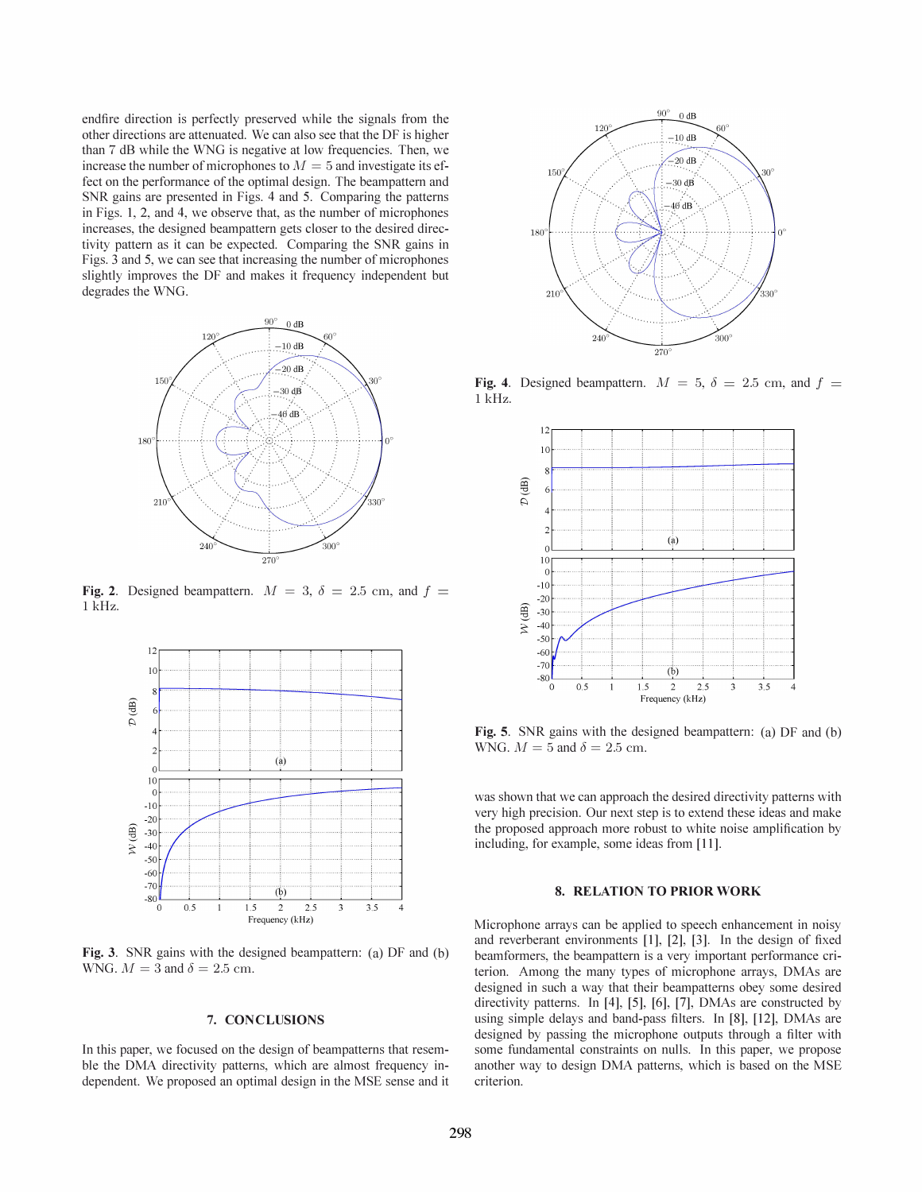endfire direction is perfectly preserved while the signals from the other directions are attenuated. We can also see that the DF is higher than 7 dB while the WNG is negative at low frequencies. Then, we increase the number of microphones to  $M = 5$  and investigate its effect on the performance of the optimal design. The beampattern and SNR gains are presented in Figs. 4 and 5. Comparing the patterns in Figs. 1, 2, and 4, we observe that, as the number of microphones increases, the designed beampattern gets closer to the desired directivity pattern as it can be expected. Comparing the SNR gains in Figs. 3 and 5, we can see that increasing the number of microphones slightly improves the DF and makes it frequency independent but degrades the WNG.



Fig. 2. Designed beampattern.  $M = 3$ ,  $\delta = 2.5$  cm, and f 1 kHz.



Fig. 3. SNR gains with the designed beampattern: (a) DF and (b) WNG.  $M = 3$  and  $\delta = 2.5$  cm.

# 7. CONCLUSIONS

In this paper, we focused on the design of beampatterns that resemble the DMA directivity patterns, which are almost frequency independent. We proposed an optimal design in the MSE sense and it



Fig. 4. Designed beampattern.  $M = 5$ ,  $\delta = 2.5$  cm, and f 1 kHz.



Fig. 5. SNR gains with the designed beampattern: (a) DF and (b) WNG.  $M = 5$  and  $\delta = 2.5$  cm.

was shown that we can approach the desired directivity patterns with very high precision. Our next step is to extend these ideas and make the proposed approach more robust to white noise amplification by including, for example, some ideas from [11].

# 8. RELATION TO PRIOR WORK

Microphone arrays can be applied to speech enhancement in noisy and reverberant environments [1], [2], [3]. In the design of fixed beamformers, the beampattern is a very important performance criterion. Among the many types of microphone arrays, DMAs are designed in such a way that their beampatterns obey some desired directivity patterns. In [4], [5], [6], [7], DMAs are constructed by using simple delays and band-pass filters. In [8], [12], DMAs are designed by passing the microphone outputs through a filter with some fundamental constraints on nulls. In this paper, we propose another way to design DMA patterns, which is based on the MSE criterion.